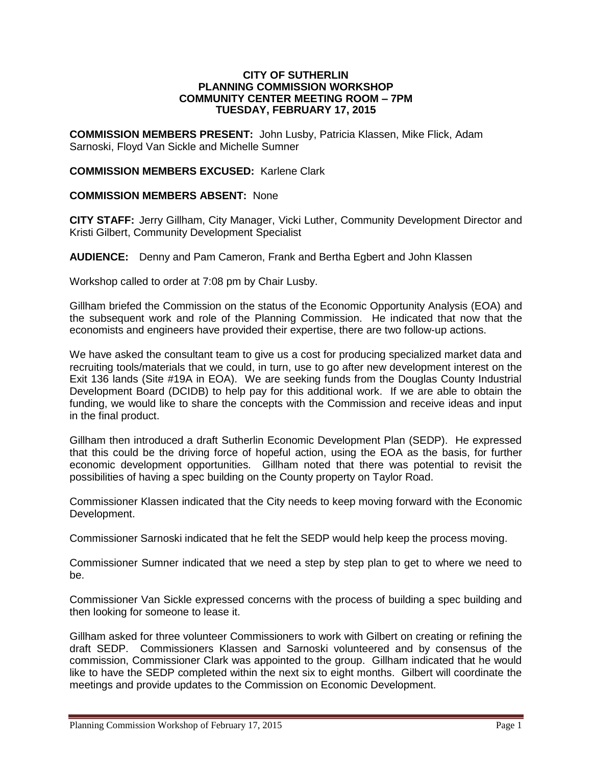## **CITY OF SUTHERLIN PLANNING COMMISSION WORKSHOP COMMUNITY CENTER MEETING ROOM – 7PM TUESDAY, FEBRUARY 17, 2015**

**COMMISSION MEMBERS PRESENT:** John Lusby, Patricia Klassen, Mike Flick, Adam Sarnoski, Floyd Van Sickle and Michelle Sumner

## **COMMISSION MEMBERS EXCUSED:** Karlene Clark

## **COMMISSION MEMBERS ABSENT:** None

**CITY STAFF:** Jerry Gillham, City Manager, Vicki Luther, Community Development Director and Kristi Gilbert, Community Development Specialist

**AUDIENCE:** Denny and Pam Cameron, Frank and Bertha Egbert and John Klassen

Workshop called to order at 7:08 pm by Chair Lusby.

Gillham briefed the Commission on the status of the Economic Opportunity Analysis (EOA) and the subsequent work and role of the Planning Commission. He indicated that now that the economists and engineers have provided their expertise, there are two follow-up actions.

We have asked the consultant team to give us a cost for producing specialized market data and recruiting tools/materials that we could, in turn, use to go after new development interest on the Exit 136 lands (Site #19A in EOA). We are seeking funds from the Douglas County Industrial Development Board (DCIDB) to help pay for this additional work. If we are able to obtain the funding, we would like to share the concepts with the Commission and receive ideas and input in the final product.

Gillham then introduced a draft Sutherlin Economic Development Plan (SEDP). He expressed that this could be the driving force of hopeful action, using the EOA as the basis, for further economic development opportunities. Gillham noted that there was potential to revisit the possibilities of having a spec building on the County property on Taylor Road.

Commissioner Klassen indicated that the City needs to keep moving forward with the Economic Development.

Commissioner Sarnoski indicated that he felt the SEDP would help keep the process moving.

Commissioner Sumner indicated that we need a step by step plan to get to where we need to be.

Commissioner Van Sickle expressed concerns with the process of building a spec building and then looking for someone to lease it.

Gillham asked for three volunteer Commissioners to work with Gilbert on creating or refining the draft SEDP. Commissioners Klassen and Sarnoski volunteered and by consensus of the commission, Commissioner Clark was appointed to the group. Gillham indicated that he would like to have the SEDP completed within the next six to eight months. Gilbert will coordinate the meetings and provide updates to the Commission on Economic Development.